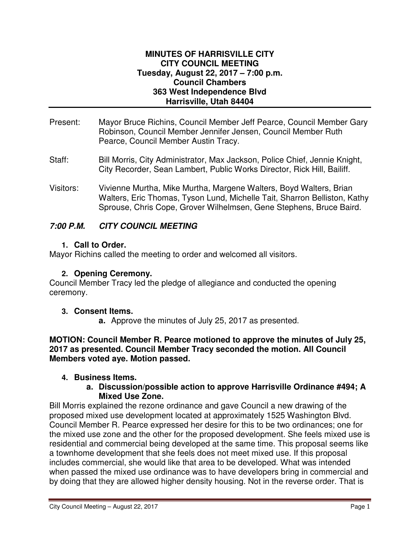#### **MINUTES OF HARRISVILLE CITY CITY COUNCIL MEETING Tuesday, August 22, 2017 – 7:00 p.m. Council Chambers 363 West Independence Blvd Harrisville, Utah 84404**

- Present: Mayor Bruce Richins, Council Member Jeff Pearce, Council Member Gary Robinson, Council Member Jennifer Jensen, Council Member Ruth Pearce, Council Member Austin Tracy.
- Staff: Bill Morris, City Administrator, Max Jackson, Police Chief, Jennie Knight, City Recorder, Sean Lambert, Public Works Director, Rick Hill, Bailiff.
- Visitors: Vivienne Murtha, Mike Murtha, Margene Walters, Boyd Walters, Brian Walters, Eric Thomas, Tyson Lund, Michelle Tait, Sharron Belliston, Kathy Sprouse, Chris Cope, Grover Wilhelmsen, Gene Stephens, Bruce Baird.

## **7:00 P.M. CITY COUNCIL MEETING**

### **1. Call to Order.**

Mayor Richins called the meeting to order and welcomed all visitors.

## **2. Opening Ceremony.**

Council Member Tracy led the pledge of allegiance and conducted the opening ceremony.

### **3. Consent Items.**

**a.** Approve the minutes of July 25, 2017 as presented.

**MOTION: Council Member R. Pearce motioned to approve the minutes of July 25, 2017 as presented. Council Member Tracy seconded the motion. All Council Members voted aye. Motion passed.** 

# **4. Business Items.**

#### **a. Discussion/possible action to approve Harrisville Ordinance #494; A Mixed Use Zone.**

Bill Morris explained the rezone ordinance and gave Council a new drawing of the proposed mixed use development located at approximately 1525 Washington Blvd. Council Member R. Pearce expressed her desire for this to be two ordinances; one for the mixed use zone and the other for the proposed development. She feels mixed use is residential and commercial being developed at the same time. This proposal seems like a townhome development that she feels does not meet mixed use. If this proposal includes commercial, she would like that area to be developed. What was intended when passed the mixed use ordinance was to have developers bring in commercial and by doing that they are allowed higher density housing. Not in the reverse order. That is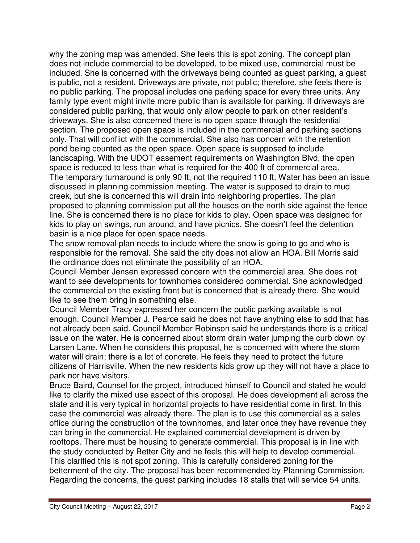why the zoning map was amended. She feels this is spot zoning. The concept plan does not include commercial to be developed, to be mixed use, commercial must be included. She is concerned with the driveways being counted as guest parking, a guest is public, not a resident. Driveways are private, not public; therefore, she feels there is no public parking. The proposal includes one parking space for every three units. Any family type event might invite more public than is available for parking. If driveways are considered public parking, that would only allow people to park on other resident's driveways. She is also concerned there is no open space through the residential section. The proposed open space is included in the commercial and parking sections only. That will conflict with the commercial. She also has concern with the retention pond being counted as the open space. Open space is supposed to include landscaping. With the UDOT easement requirements on Washington Blvd, the open space is reduced to less than what is required for the 400 ft of commercial area. The temporary turnaround is only 90 ft, not the required 110 ft. Water has been an issue discussed in planning commission meeting. The water is supposed to drain to mud creek, but she is concerned this will drain into neighboring properties. The plan proposed to planning commission put all the houses on the north side against the fence line. She is concerned there is no place for kids to play. Open space was designed for kids to play on swings, run around, and have picnics. She doesn't feel the detention basin is a nice place for open space needs.

The snow removal plan needs to include where the snow is going to go and who is responsible for the removal. She said the city does not allow an HOA. Bill Morris said the ordinance does not eliminate the possibility of an HOA.

Council Member Jensen expressed concern with the commercial area. She does not want to see developments for townhomes considered commercial. She acknowledged the commercial on the existing front but is concerned that is already there. She would like to see them bring in something else.

Council Member Tracy expressed her concern the public parking available is not enough. Council Member J. Pearce said he does not have anything else to add that has not already been said. Council Member Robinson said he understands there is a critical issue on the water. He is concerned about storm drain water jumping the curb down by Larsen Lane. When he considers this proposal, he is concerned with where the storm water will drain; there is a lot of concrete. He feels they need to protect the future citizens of Harrisville. When the new residents kids grow up they will not have a place to park nor have visitors.

Bruce Baird, Counsel for the project, introduced himself to Council and stated he would like to clarify the mixed use aspect of this proposal. He does development all across the state and it is very typical in horizontal projects to have residential come in first. In this case the commercial was already there. The plan is to use this commercial as a sales office during the construction of the townhomes, and later once they have revenue they can bring in the commercial. He explained commercial development is driven by rooftops. There must be housing to generate commercial. This proposal is in line with the study conducted by Better City and he feels this will help to develop commercial. This clarified this is not spot zoning. This is carefully considered zoning for the betterment of the city. The proposal has been recommended by Planning Commission. Regarding the concerns, the guest parking includes 18 stalls that will service 54 units.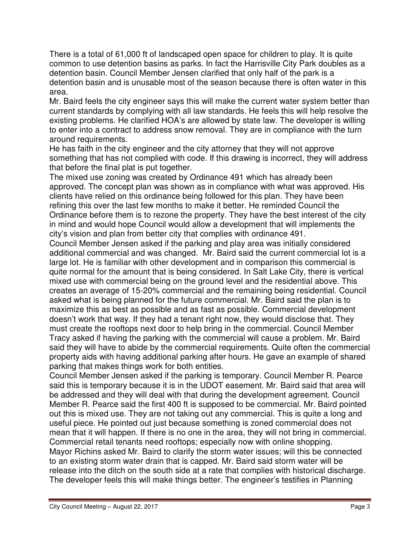There is a total of 61,000 ft of landscaped open space for children to play. It is quite common to use detention basins as parks. In fact the Harrisville City Park doubles as a detention basin. Council Member Jensen clarified that only half of the park is a detention basin and is unusable most of the season because there is often water in this area.

Mr. Baird feels the city engineer says this will make the current water system better than current standards by complying with all law standards. He feels this will help resolve the existing problems. He clarified HOA's are allowed by state law. The developer is willing to enter into a contract to address snow removal. They are in compliance with the turn around requirements.

He has faith in the city engineer and the city attorney that they will not approve something that has not complied with code. If this drawing is incorrect, they will address that before the final plat is put together.

The mixed use zoning was created by Ordinance 491 which has already been approved. The concept plan was shown as in compliance with what was approved. His clients have relied on this ordinance being followed for this plan. They have been refining this over the last few months to make it better. He reminded Council the Ordinance before them is to rezone the property. They have the best interest of the city in mind and would hope Council would allow a development that will implements the city's vision and plan from better city that complies with ordinance 491.

Council Member Jensen asked if the parking and play area was initially considered additional commercial and was changed. Mr. Baird said the current commercial lot is a large lot. He is familiar with other development and in comparison this commercial is quite normal for the amount that is being considered. In Salt Lake City, there is vertical mixed use with commercial being on the ground level and the residential above. This creates an average of 15-20% commercial and the remaining being residential. Council asked what is being planned for the future commercial. Mr. Baird said the plan is to maximize this as best as possible and as fast as possible. Commercial development doesn't work that way. If they had a tenant right now, they would disclose that. They must create the rooftops next door to help bring in the commercial. Council Member Tracy asked if having the parking with the commercial will cause a problem. Mr. Baird said they will have to abide by the commercial requirements. Quite often the commercial property aids with having additional parking after hours. He gave an example of shared parking that makes things work for both entities.

Council Member Jensen asked if the parking is temporary. Council Member R. Pearce said this is temporary because it is in the UDOT easement. Mr. Baird said that area will be addressed and they will deal with that during the development agreement. Council Member R. Pearce said the first 400 ft is supposed to be commercial. Mr. Baird pointed out this is mixed use. They are not taking out any commercial. This is quite a long and useful piece. He pointed out just because something is zoned commercial does not mean that it will happen. If there is no one in the area, they will not bring in commercial. Commercial retail tenants need rooftops; especially now with online shopping. Mayor Richins asked Mr. Baird to clarify the storm water issues; will this be connected to an existing storm water drain that is capped. Mr. Baird said storm water will be release into the ditch on the south side at a rate that complies with historical discharge. The developer feels this will make things better. The engineer's testifies in Planning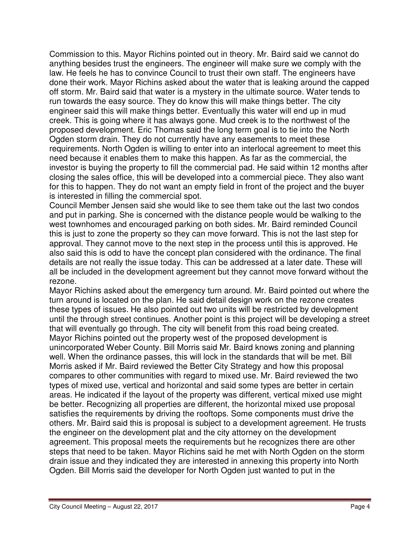Commission to this. Mayor Richins pointed out in theory. Mr. Baird said we cannot do anything besides trust the engineers. The engineer will make sure we comply with the law. He feels he has to convince Council to trust their own staff. The engineers have done their work. Mayor Richins asked about the water that is leaking around the capped off storm. Mr. Baird said that water is a mystery in the ultimate source. Water tends to run towards the easy source. They do know this will make things better. The city engineer said this will make things better. Eventually this water will end up in mud creek. This is going where it has always gone. Mud creek is to the northwest of the proposed development. Eric Thomas said the long term goal is to tie into the North Ogden storm drain. They do not currently have any easements to meet these requirements. North Ogden is willing to enter into an interlocal agreement to meet this need because it enables them to make this happen. As far as the commercial, the investor is buying the property to fill the commercial pad. He said within 12 months after closing the sales office, this will be developed into a commercial piece. They also want for this to happen. They do not want an empty field in front of the project and the buyer is interested in filling the commercial spot.

Council Member Jensen said she would like to see them take out the last two condos and put in parking. She is concerned with the distance people would be walking to the west townhomes and encouraged parking on both sides. Mr. Baird reminded Council this is just to zone the property so they can move forward. This is not the last step for approval. They cannot move to the next step in the process until this is approved. He also said this is odd to have the concept plan considered with the ordinance. The final details are not really the issue today. This can be addressed at a later date. These will all be included in the development agreement but they cannot move forward without the rezone.

Mayor Richins asked about the emergency turn around. Mr. Baird pointed out where the turn around is located on the plan. He said detail design work on the rezone creates these types of issues. He also pointed out two units will be restricted by development until the through street continues. Another point is this project will be developing a street that will eventually go through. The city will benefit from this road being created. Mayor Richins pointed out the property west of the proposed development is unincorporated Weber County. Bill Morris said Mr. Baird knows zoning and planning well. When the ordinance passes, this will lock in the standards that will be met. Bill Morris asked if Mr. Baird reviewed the Better City Strategy and how this proposal compares to other communities with regard to mixed use. Mr. Baird reviewed the two types of mixed use, vertical and horizontal and said some types are better in certain areas. He indicated if the layout of the property was different, vertical mixed use might be better. Recognizing all properties are different, the horizontal mixed use proposal satisfies the requirements by driving the rooftops. Some components must drive the others. Mr. Baird said this is proposal is subject to a development agreement. He trusts the engineer on the development plat and the city attorney on the development agreement. This proposal meets the requirements but he recognizes there are other steps that need to be taken. Mayor Richins said he met with North Ogden on the storm drain issue and they indicated they are interested in annexing this property into North Ogden. Bill Morris said the developer for North Ogden just wanted to put in the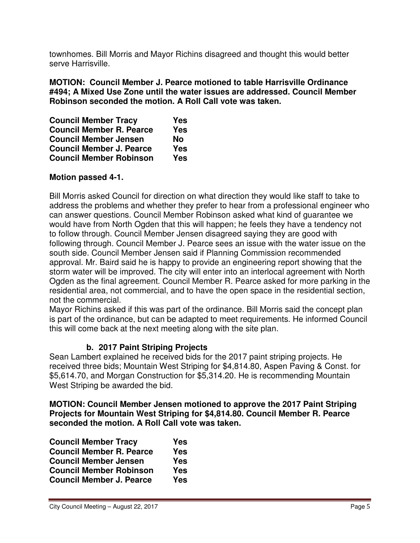townhomes. Bill Morris and Mayor Richins disagreed and thought this would better serve Harrisville.

**MOTION: Council Member J. Pearce motioned to table Harrisville Ordinance #494; A Mixed Use Zone until the water issues are addressed. Council Member Robinson seconded the motion. A Roll Call vote was taken.** 

| <b>Council Member Tracy</b>     | Yes        |
|---------------------------------|------------|
| <b>Council Member R. Pearce</b> | <b>Yes</b> |
| <b>Council Member Jensen</b>    | No         |
| <b>Council Member J. Pearce</b> | <b>Yes</b> |
| <b>Council Member Robinson</b>  | <b>Yes</b> |

#### **Motion passed 4-1.**

Bill Morris asked Council for direction on what direction they would like staff to take to address the problems and whether they prefer to hear from a professional engineer who can answer questions. Council Member Robinson asked what kind of guarantee we would have from North Ogden that this will happen; he feels they have a tendency not to follow through. Council Member Jensen disagreed saying they are good with following through. Council Member J. Pearce sees an issue with the water issue on the south side. Council Member Jensen said if Planning Commission recommended approval. Mr. Baird said he is happy to provide an engineering report showing that the storm water will be improved. The city will enter into an interlocal agreement with North Ogden as the final agreement. Council Member R. Pearce asked for more parking in the residential area, not commercial, and to have the open space in the residential section, not the commercial.

Mayor Richins asked if this was part of the ordinance. Bill Morris said the concept plan is part of the ordinance, but can be adapted to meet requirements. He informed Council this will come back at the next meeting along with the site plan.

### **b. 2017 Paint Striping Projects**

Sean Lambert explained he received bids for the 2017 paint striping projects. He received three bids; Mountain West Striping for \$4,814.80, Aspen Paving & Const. for \$5,614.70, and Morgan Construction for \$5,314.20. He is recommending Mountain West Striping be awarded the bid.

**MOTION: Council Member Jensen motioned to approve the 2017 Paint Striping Projects for Mountain West Striping for \$4,814.80. Council Member R. Pearce seconded the motion. A Roll Call vote was taken.** 

| <b>Council Member Tracy</b>     | <b>Yes</b> |
|---------------------------------|------------|
| <b>Council Member R. Pearce</b> | <b>Yes</b> |
| <b>Council Member Jensen</b>    | <b>Yes</b> |
| <b>Council Member Robinson</b>  | <b>Yes</b> |
| <b>Council Member J. Pearce</b> | <b>Yes</b> |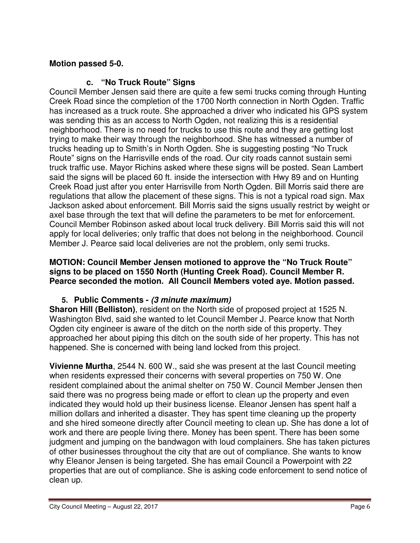## **Motion passed 5-0.**

### **c. "No Truck Route" Signs**

Council Member Jensen said there are quite a few semi trucks coming through Hunting Creek Road since the completion of the 1700 North connection in North Ogden. Traffic has increased as a truck route. She approached a driver who indicated his GPS system was sending this as an access to North Ogden, not realizing this is a residential neighborhood. There is no need for trucks to use this route and they are getting lost trying to make their way through the neighborhood. She has witnessed a number of trucks heading up to Smith's in North Ogden. She is suggesting posting "No Truck Route" signs on the Harrisville ends of the road. Our city roads cannot sustain semi truck traffic use. Mayor Richins asked where these signs will be posted. Sean Lambert said the signs will be placed 60 ft. inside the intersection with Hwy 89 and on Hunting Creek Road just after you enter Harrisville from North Ogden. Bill Morris said there are regulations that allow the placement of these signs. This is not a typical road sign. Max Jackson asked about enforcement. Bill Morris said the signs usually restrict by weight or axel base through the text that will define the parameters to be met for enforcement. Council Member Robinson asked about local truck delivery. Bill Morris said this will not apply for local deliveries; only traffic that does not belong in the neighborhood. Council Member J. Pearce said local deliveries are not the problem, only semi trucks.

#### **MOTION: Council Member Jensen motioned to approve the "No Truck Route" signs to be placed on 1550 North (Hunting Creek Road). Council Member R. Pearce seconded the motion. All Council Members voted aye. Motion passed.**

### **5. Public Comments - (3 minute maximum)**

**Sharon Hill (Belliston)**, resident on the North side of proposed project at 1525 N. Washington Blvd, said she wanted to let Council Member J. Pearce know that North Ogden city engineer is aware of the ditch on the north side of this property. They approached her about piping this ditch on the south side of her property. This has not happened. She is concerned with being land locked from this project.

**Vivienne Murtha**, 2544 N. 600 W., said she was present at the last Council meeting when residents expressed their concerns with several properties on 750 W. One resident complained about the animal shelter on 750 W. Council Member Jensen then said there was no progress being made or effort to clean up the property and even indicated they would hold up their business license. Eleanor Jensen has spent half a million dollars and inherited a disaster. They has spent time cleaning up the property and she hired someone directly after Council meeting to clean up. She has done a lot of work and there are people living there. Money has been spent. There has been some judgment and jumping on the bandwagon with loud complainers. She has taken pictures of other businesses throughout the city that are out of compliance. She wants to know why Eleanor Jensen is being targeted. She has email Council a Powerpoint with 22 properties that are out of compliance. She is asking code enforcement to send notice of clean up.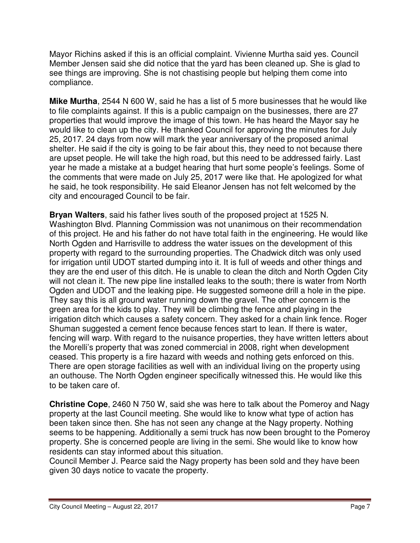Mayor Richins asked if this is an official complaint. Vivienne Murtha said yes. Council Member Jensen said she did notice that the yard has been cleaned up. She is glad to see things are improving. She is not chastising people but helping them come into compliance.

**Mike Murtha**, 2544 N 600 W, said he has a list of 5 more businesses that he would like to file complaints against. If this is a public campaign on the businesses, there are 27 properties that would improve the image of this town. He has heard the Mayor say he would like to clean up the city. He thanked Council for approving the minutes for July 25, 2017. 24 days from now will mark the year anniversary of the proposed animal shelter. He said if the city is going to be fair about this, they need to not because there are upset people. He will take the high road, but this need to be addressed fairly. Last year he made a mistake at a budget hearing that hurt some people's feelings. Some of the comments that were made on July 25, 2017 were like that. He apologized for what he said, he took responsibility. He said Eleanor Jensen has not felt welcomed by the city and encouraged Council to be fair.

**Bryan Walters**, said his father lives south of the proposed project at 1525 N. Washington Blvd. Planning Commission was not unanimous on their recommendation of this project. He and his father do not have total faith in the engineering. He would like North Ogden and Harrisville to address the water issues on the development of this property with regard to the surrounding properties. The Chadwick ditch was only used for irrigation until UDOT started dumping into it. It is full of weeds and other things and they are the end user of this ditch. He is unable to clean the ditch and North Ogden City will not clean it. The new pipe line installed leaks to the south; there is water from North Ogden and UDOT and the leaking pipe. He suggested someone drill a hole in the pipe. They say this is all ground water running down the gravel. The other concern is the green area for the kids to play. They will be climbing the fence and playing in the irrigation ditch which causes a safety concern. They asked for a chain link fence. Roger Shuman suggested a cement fence because fences start to lean. If there is water, fencing will warp. With regard to the nuisance properties, they have written letters about the Morelli's property that was zoned commercial in 2008, right when development ceased. This property is a fire hazard with weeds and nothing gets enforced on this. There are open storage facilities as well with an individual living on the property using an outhouse. The North Ogden engineer specifically witnessed this. He would like this to be taken care of.

**Christine Cope**, 2460 N 750 W, said she was here to talk about the Pomeroy and Nagy property at the last Council meeting. She would like to know what type of action has been taken since then. She has not seen any change at the Nagy property. Nothing seems to be happening. Additionally a semi truck has now been brought to the Pomeroy property. She is concerned people are living in the semi. She would like to know how residents can stay informed about this situation.

Council Member J. Pearce said the Nagy property has been sold and they have been given 30 days notice to vacate the property.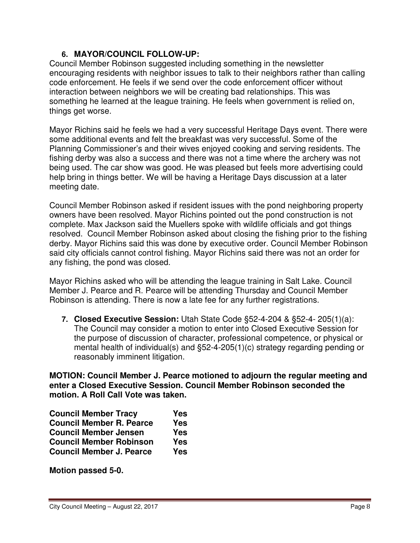### **6. MAYOR/COUNCIL FOLLOW-UP:**

Council Member Robinson suggested including something in the newsletter encouraging residents with neighbor issues to talk to their neighbors rather than calling code enforcement. He feels if we send over the code enforcement officer without interaction between neighbors we will be creating bad relationships. This was something he learned at the league training. He feels when government is relied on, things get worse.

Mayor Richins said he feels we had a very successful Heritage Days event. There were some additional events and felt the breakfast was very successful. Some of the Planning Commissioner's and their wives enjoyed cooking and serving residents. The fishing derby was also a success and there was not a time where the archery was not being used. The car show was good. He was pleased but feels more advertising could help bring in things better. We will be having a Heritage Days discussion at a later meeting date.

Council Member Robinson asked if resident issues with the pond neighboring property owners have been resolved. Mayor Richins pointed out the pond construction is not complete. Max Jackson said the Muellers spoke with wildlife officials and got things resolved. Council Member Robinson asked about closing the fishing prior to the fishing derby. Mayor Richins said this was done by executive order. Council Member Robinson said city officials cannot control fishing. Mayor Richins said there was not an order for any fishing, the pond was closed.

Mayor Richins asked who will be attending the league training in Salt Lake. Council Member J. Pearce and R. Pearce will be attending Thursday and Council Member Robinson is attending. There is now a late fee for any further registrations.

**7. Closed Executive Session:** Utah State Code §52-4-204 & §52-4- 205(1)(a): The Council may consider a motion to enter into Closed Executive Session for the purpose of discussion of character, professional competence, or physical or mental health of individual(s) and §52-4-205(1)(c) strategy regarding pending or reasonably imminent litigation.

**MOTION: Council Member J. Pearce motioned to adjourn the regular meeting and enter a Closed Executive Session. Council Member Robinson seconded the motion. A Roll Call Vote was taken.** 

| <b>Council Member Tracy</b>     | <b>Yes</b> |
|---------------------------------|------------|
| <b>Council Member R. Pearce</b> | <b>Yes</b> |
| <b>Council Member Jensen</b>    | Yes        |
| <b>Council Member Robinson</b>  | <b>Yes</b> |
| <b>Council Member J. Pearce</b> | Yes        |

**Motion passed 5-0.**